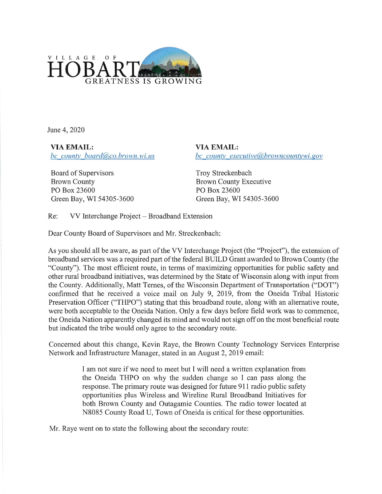

June 4, 2020

VIA EMAIL: bc county board@co.brown.wi.us

Board of Supervisors Brown County PO Box 23600 Green Bay, WI 54305-3600 VIA EMAIL: bc county executive@,browncountywi.gov

Troy Streckenbach Brown County Executive PO Box 23600 Green Bay, WI 54305-3600

Re: VV Interchange Project - Broadband Extension

Dear County Board of Supervisors and Mr. Streckenbach:

As you should all be aware, as part of the VV Interchange Project (the "Project"), the extension of broadband services was a required part of the federal BUILD Grant awarded to Brown County (the "County"). The most efficient route, in terms of maximizing opportunities for public safety and other rural broadband initiatives, was determined by the State of Wisconsin along with input from the County. Additionally, Matt Ternes, of the Wisconsin Department of Transportation ("DOT") confirmed that he received a voice mail on July 9, 2019, from the Oneida Tribal Historic Preservation Officer ("THPO") stating that this broadband route, along with an alternative route, were both acceptable to the Oneida Nation. Only a few days before field work was to commence, the Oneida Nation apparently changed its mind and would not sign off on the most beneficial route but indicated the tribe would only agree to the secondary route.

Concerned about this change, Kevin Raye, the Brown County Technology Services Enterprise Network and Infrastructure Manager, stated in an August 2, 2019 email:

> I am not sure if we need to meet but I will need a written explanation from the Oneida THPO on why the sudden change so I can pass along the response. The primary route was designed for future 911 radio public safety opportunities plus Wireless and Wireline Rural Broadband Initiatives for both Brown County and Outagamie Counties. The radio tower located at N8085 County Road U, Town of Oneida is critical for these opportunities.

Mr. Raye went on to state the following about the secondary route: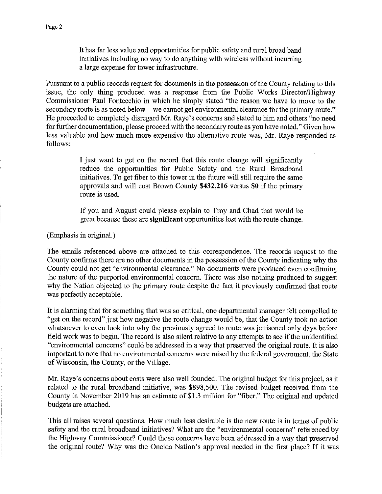It has far less value and opportunities for public safety and rural broad band initiatives including no way to do anything with wireless without incurring a large expense for tower infrastructure

Pursuant to a public records request for documents in the possession of the County relating to this issue, the only thing produced was a response from the Public Works Director/Highway Commissioner Paul Fontecchio in which he simply stated "the reason we have to move to the secondary route is as noted below—we cannot get environmental clearance for the primary route." He proceeded to completely disregard Mr. Raye's concerns and stated to him and others "no need for further documentation, please proceed with the secondary route as you have noted." Given how less valuable and how much more expensive the alternative route was, Mr. Raye responded as follows:

> I just want to get on the record that this route change will significantly reduce the opportunities for Public Safety and the Rural Broadband initiatives. To get fiber to this tower in the future will still require the same approvals and will cost Brown County \$432,216 versus \$0 if the primary route is used.

> If you and August could please explain to Troy and Chad that would be great because these are significant opportunities lost with the route change.

(Emphasis in original.)

The emails referenced above are attached to this correspondence. The records request to the County confirms there are no other documents in the possession of the County indicating why the County could not get "environmental clearance." No documents were produced even confirming the nature of the purported environmental concern. There was also nothing produced to suggest why the Nation objected to the primary route despite the fact it previously confirmed that route was perfectly acceptable.

It is alarming that for something that was so critical, one departmental manager felt compelled to "get on the record" just how negative the route change would be, that the County took no action whatsoever to even look into why the previously agreed to route was jettisoned only days before field work was to begin. The record is also silent relative to any attempts to see if the unidentified "environmental concerns" could be addressed in a way that preserved the original route. It is also important to note that no environmental concerns were raised by the federal government, the State of Wisconsin, the County, or the Village.

Mr. Raye's concerns about costs were also well founded. The original budget for this project, as it related to the rural broadband initiative, was \$898,500. The revised budget received from the County in November 2019 has an estimate of \$1.3 million for "fiber." The original and updated budgets are attached.

This all raises several questions. How much less desirable is the new route is in terms of public safety and the rural broadband initiatives? What are the "environmental concerns" referenced by the Highway Commissioner? Could those concerns have been addressed in a way that preserved the original route? Why was the Oneida Nation's approval needed in the first place? If it was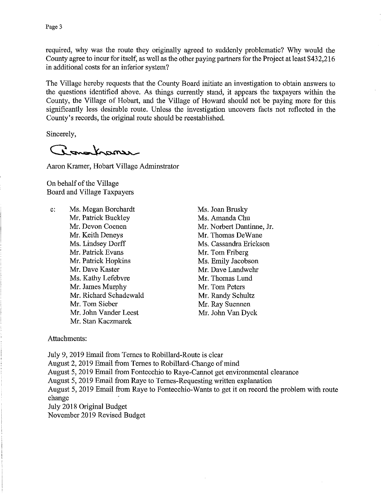required, why was the route they originally agreed to suddenly problematic? Why would the County agree to incur for itself, as well as the other paying partners for the Project at least \$432,216 in additional costs for an inferior system?

The Village hereby requests that the County Board initiate an investigation to obtain answers to the questions identified above. As tings currently stand, it appears the taxpayers within the County, the Village of Hobart, and the Village of Howard should not be paying more for this significantly less desirable route. Unless the investigation uncovers facts not reflected in the County's records, the original route should be reestablished.

Sincerely,

Conochanse

Aaron Kramer, Hobart Village Adminstrator

On behalf of the Village Board and Village Taxpayers

C: Ms. Megan Borchardt Mr. Patrick Buckley Mr. Devon Coenen Mr. Keith Deneys Ms. Lindsey Dorff Mr. Patrick Evans Mr. Patrick Hopkins Mr. Dave Kaster Ms. Kathy Lefebvre Mr. James Murphy Mr. Richard Schadewald Mr. Tom Sieber Mr. John Vander Leest Mr. Stan Kaczmarek

Ms. Joan Brusky Ms. Amanda Chu Mr. Norbert Dantinne, Jr. Mr. Thomas DeWane Ms. Cassandra Erickson Mr. Tom Friberg Ms. Emily Jacobson Mr. Dave Landwehr Mr. Thomas Lund Mr. Tom Peters Mr. Randy Schultz Mr. Ray Suennen Mr. John Van Dyck

Attachments:

July 9, 2019 Email from Ternes to Robillard-Route is clear August 2, 2019 Email from Ternes to Robillard-Change of mind August 5, 2019 Email from Fontecchio to Raye-Cannot get environmental clearance August 5, 2019 Email from Raye to Ternes-Requesting written explanation August 5, 2019 Email from Raye to Fontecchio-Wants to get it on record the problem with route change July 2018 0riginal Budget November 2019 Revised Budget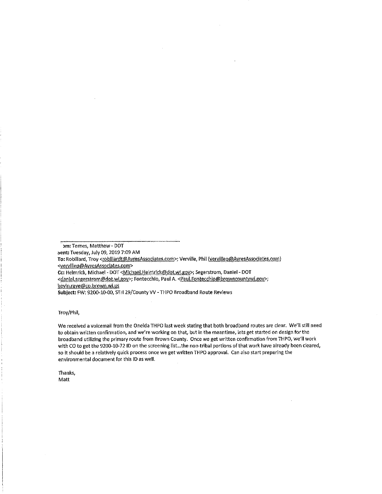'im: Ternes, Matthew - DOT sent: Tuesday, July 09, 2019 7:09 AM To: Robillard, Troy <robillardt@AyresAssociates.com>; Verville, Phil (vervillep@AyresAssociates.com) <vervillep@AyresAssociates.com> Cc: Helmrick, Michael - DOT <Michael.Helmrick@dot.wi.gov>; Segerstrom, Daniel - DOT <danlel.segerstrom@dot.wi.gov>; Fontecchio, Paul A. <Paul.Fontecchio@browncountywi.gov>; kevin.raye@co.brown.wi.us Subject: FW: 9200-10-00, STH 29/County VV - THPO Broadband Route Reviews

## Troy/Phil,

We received a voicemail from the Oneida THPO last week stating that both broadband routes are clear. We'll still need to obtain written confirmation, and we're working on that, but in the meantime, lets get started on design for the broadband utilizing the primary route from Brown County. Once we get written confirmation from THPO, we'll work with CO to get the 9200-10-72 ID on the screening list...the non-tribal portions of that work have already been cleared, so it should be a relatively quick process once we get written THPO approval. Can also start preparing the environmental document for this ID as well.

Thanks, **Matt**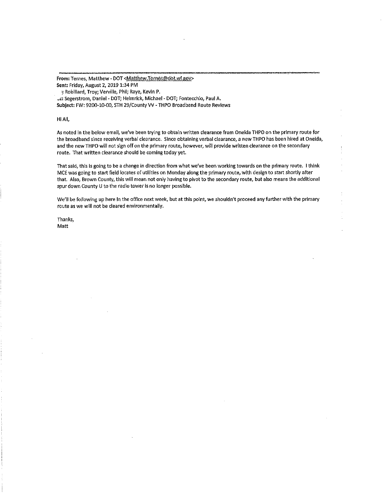From: Ternes, Matthew - DOT <Matthew.Ternes@dot.wi.gov> Sent: Friday, August 2, 2019 1:34 PM

: Robillard, Troy; Verville, Phil; Raye, Kevin P.

Lc: Segerstrom, Daniel - DOT; Helmrick, Michael - DOT; Fontecchio, Paul A. Subject: FW: 9200-10-00, STH 29/County W - THPO Broadband Route Reviews

## Hi All,

As noted in the below email, we've been trying to obtain written clearance from Oneida THPO on the primary route for the broadband since receiving verbal clearance. Since obtaining verbal clearance, a new THPO has been hired at Oneida, and the new THPO will not sign off on the primary route, however, will provide written clearance on the secondary route. That written clearance should be coming today yet.

That said, this is going to be a change in direction from what we've been working towards on the primary route. I think MCE was going to start field locates of utilities on Monday along the primary route, with design to start shortly after that. Also, Brown County, this will mean not only having to pivot to the secondary route, but also means the additional spur down County U to the radio tower is no longer possible.

We'll be following up here in the office next week, but at this point, we shouldn't proceed any further with the primary route as we will not be cleared environmentally.

Thanks, Matt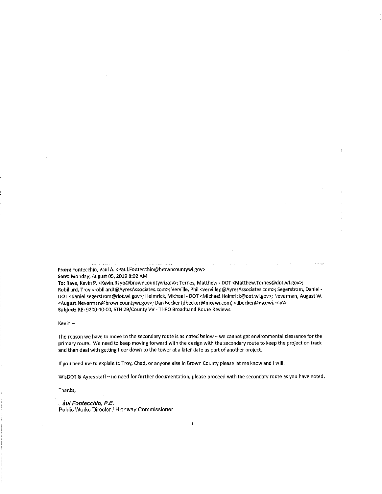From: Fontecchio, Paul A. <Paul.Fontecchio@browncountywi.gov> Sent: Monday, August 05, 2019 8:02 AM

To: Raye, Kevin P. <Kevin.Raye@browncountywi.gov>; Ternes, Matthew - DOT <Matthew.Ternes@dot.wi.@ov>; Robillard, Troy <robillardt@AyresAssociates.com>; Verville, Phil <vervillep@AyresAssociates.com>; Segerstrom, Daniel - DOT <daniel.segerstrom@dot.wi.gov>; Helmrick, Michael - DOT <Michael.Helmrick@dot.wi.gov>; Neverman, August W. <August.Neverman@browncountywi.gov>; Dan Becker (dbecker@mcewi.com) <dbecker@mcewi.com> Subject: RE: 9200-10-00, STH 29/County W - THPO Broadband Route Reviews

Kevin -

The reason we have to move to the secondary route is as noted below - we cannot get environmental clearance for the primary route. We need to keep moving forward with the design with the secondary route to keep the project on track and then deal with getting fiber down to the tower at a later date as part of another project.

If you need me to explain to Troy, Chad, or anyone else in Brown County please let me know and I will.

WisDOT & Ayres staff- no need for further documentation, please proceed with the secondary route as you have noted.

Thanks,

. au/ Fontecchio, P.E. Public Works Director/Highway Commissioner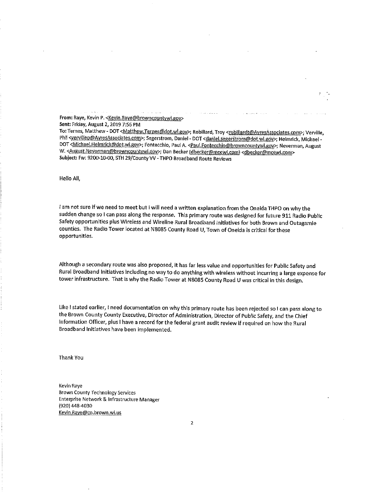From: Raye, Kevin P. < Kevin.Raye@browncountywi.gov>

Sent: Friday, August 2, 2019 7:56 PM

To: Ternes, Matthew - DOT <Matthew.Ternes@dot.wi.gov>; Robillard, Troy <robillardt@AyresAssociates.com>; Verville, Phil <vervillep@AyresAssociates.com>; Segerstrom, Daniel - DOT <daniel.segerstrom@dot.wLgov>; Helmrick, Michael -DOT <Michael.Helmrick@dot.wi.zov>; Fontecchia, Paul A. <Paul.Fontecchio@browncountywi.zov>; Neverman, August W. <August.Neverman@browncountywl.gov>; Dan Becker (dbecker@mcewi.com) <dbecker@mcewi.com> Subject: Fw: 9200-10-DO, STH 29/County VV - THPO Broadband Route Reviews

Hello All,

I am not sure if we need to meet but I will need a written explanation from the Oneida THPO on why the sudden change so I can pass along the response. This primary route was designed for future 911 Radio Public Safety opportunities plus Wireless and Wireline Rural Broadband Initiatives for both Brown and Outagamie counties. The Radio Tower located at N8085 County Road U, Town of Oneida is critical for these opportunities.

Although a secondary route was also proposed, it has far less value and opportunities for Public Safety and Rural Broadband Initiatives including no way to do anything with wireless without incurring a large expense for tower infrastructure. That is why the Radio Tower at N8085 County Road U was critical in this design.

Like I stated earlier, I need documentation on why this primary route has been rejected so I can pass along to the Brown County County Executive, Director of Administration, Director of Public Safety, and the Chief tnformation Officer, plus I have a record for the federal grant audit review if required on how the Rural Broadband Initiatives have been implemented.

Thank You

Kevin Raye Brown County Technology Services Enterprise Network & Infrastructure Manager (920) 448-4030 Kevin.Raye@co.brown.wi.us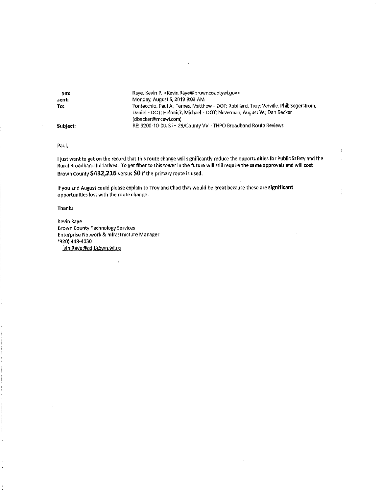| Raye, Kevin P. < Kevin, Raye@browncountywi.gov>                                                                                                                    |
|--------------------------------------------------------------------------------------------------------------------------------------------------------------------|
| Monday, August 5, 2019 9:03 AM                                                                                                                                     |
| Fontecchio, Paul A.; Ternes, Matthew - DOT; Robillard, Troy; Verville, Phil; Segerstrom,<br>Daniel - DOT; Helmrick, Michael - DOT; Neverman, August W.; Dan Becker |
| (dbecker@mcewi.com)                                                                                                                                                |
| RE: 9200-10-00, STH 29/County VV - THPO Broadband Route Reviews                                                                                                    |
|                                                                                                                                                                    |

Paul,

I just want to get on the record that this route change will significantly reduce the opportunities for Public Safety and the Rural Broadband Initiatives. To get fiber to this tower in the future will still require the same approvals andwill cost Brown County \$432,216 versus \$0 if the primary route is used.

If you and August could please explain to Troy and Chad that would be great because these are significant opportunities lost with the route change.

Thanks

Kevin Raye Brown County Technology Services Enterprise Network & Infrastructure Manager 'Q20) 448-4030 vin.Raye@co.brown.wi.us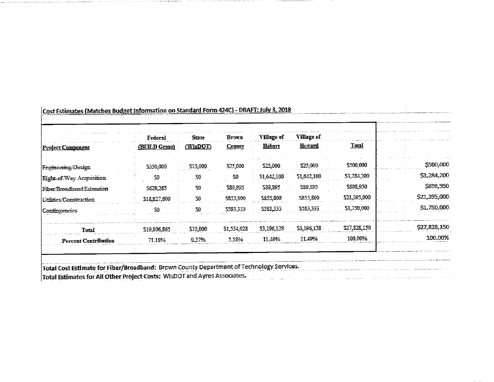| <b>Project Component</b>    | Federal<br>(BUILD Grant) | State<br>(WisDOT) | Brown<br><b>County</b> | Village of<br>Hobart | Village of<br><b>Howard</b> | Total         |              |
|-----------------------------|--------------------------|-------------------|------------------------|----------------------|-----------------------------|---------------|--------------|
| <b>Engineering Design</b>   | 5350,000                 | 575,000           | \$25,000               | 225,000              | \$25,000                    | 5500,000      | \$500,000    |
| Right-of-Way Acquisition    | 50                       | 50                | SO                     | 51,642,100           | 51,642,100                  | \$3,284,200   | \$3,284,200  |
| Fiber/Broadband Extension   | \$629,265                | S0                | \$89,895               | 589,895              | 539,595                     | 5898,950      | \$898,950    |
| Utilines/Construction       | \$18,827,600             | 50                | 2835.800               | 5833,800             | \$855,800                   | \$21,395,000  | \$21,395,000 |
| Contingencies               | ŚÙ                       | 30                | \$583,353              | 5583,333             | \$383,333                   | \$1,750,000   | \$1,750,000  |
| Total                       | \$19,806,865             | \$75,000          | \$1,554,028            | \$3,196,128          | \$3,196,128                 | \$27,\$28,150 | \$27,828.150 |
| <b>Percent Contribution</b> | 7118%                    | 0.27%             | 5.58%                  | 11.49%               | 11.49%                      | 100.00%       | 100.00%      |
|                             |                          |                   |                        |                      |                             |               |              |

 $\mathcal{L}^{\mathcal{L}}(\mathcal{L}^{\mathcal{L}})$  and  $\mathcal{L}^{\mathcal{L}}(\mathcal{L}^{\mathcal{L}})$